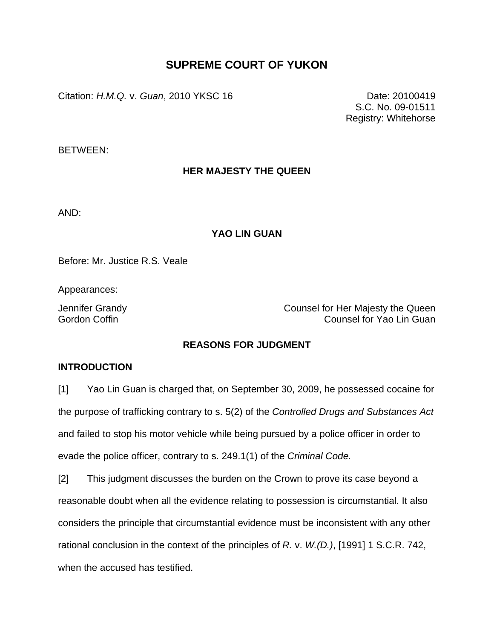# **SUPREME COURT OF YUKON**

Citation: *H.M.Q.* v. *Guan*, 2010 YKSC 16 Date: 20100419

S.C. No. 09-01511 Registry: Whitehorse

BETWEEN:

## **HER MAJESTY THE QUEEN**

AND:

### **YAO LIN GUAN**

Before: Mr. Justice R.S. Veale

Appearances:

Jennifer Grandy Counsel for Her Majesty the Queen Gordon Coffin **Counsel for Yao Lin Guan** 

### **REASONS FOR JUDGMENT**

#### **INTRODUCTION**

[1] Yao Lin Guan is charged that, on September 30, 2009, he possessed cocaine for the purpose of trafficking contrary to s. 5(2) of the *Controlled Drugs and Substances Act* and failed to stop his motor vehicle while being pursued by a police officer in order to evade the police officer, contrary to s. 249.1(1) of the *Criminal Code.*

[2] This judgment discusses the burden on the Crown to prove its case beyond a reasonable doubt when all the evidence relating to possession is circumstantial. It also considers the principle that circumstantial evidence must be inconsistent with any other rational conclusion in the context of the principles of *R.* v. *W.(D.)*, [1991] 1 S.C.R. 742, when the accused has testified.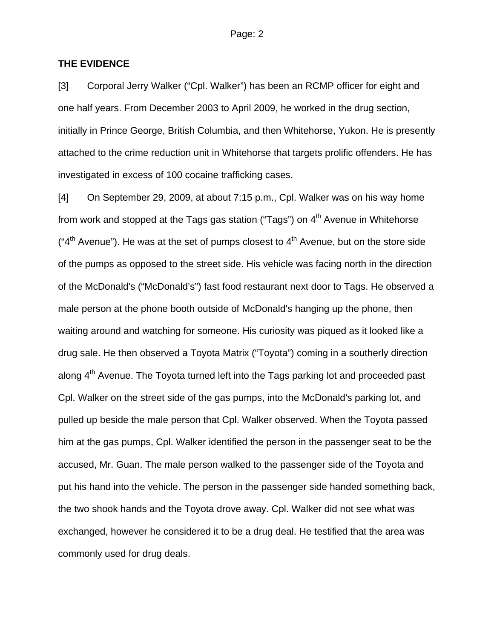#### **THE EVIDENCE**

[3] Corporal Jerry Walker ("Cpl. Walker") has been an RCMP officer for eight and one half years. From December 2003 to April 2009, he worked in the drug section, initially in Prince George, British Columbia, and then Whitehorse, Yukon. He is presently attached to the crime reduction unit in Whitehorse that targets prolific offenders. He has investigated in excess of 100 cocaine trafficking cases.

[4] On September 29, 2009, at about 7:15 p.m., Cpl. Walker was on his way home from work and stopped at the Tags gas station ("Tags") on  $4<sup>th</sup>$  Avenue in Whitehorse  $(4<sup>th</sup>$  Avenue"). He was at the set of pumps closest to  $4<sup>th</sup>$  Avenue, but on the store side of the pumps as opposed to the street side. His vehicle was facing north in the direction of the McDonald's ("McDonald's") fast food restaurant next door to Tags. He observed a male person at the phone booth outside of McDonald's hanging up the phone, then waiting around and watching for someone. His curiosity was piqued as it looked like a drug sale. He then observed a Toyota Matrix ("Toyota") coming in a southerly direction along  $4<sup>th</sup>$  Avenue. The Toyota turned left into the Tags parking lot and proceeded past Cpl. Walker on the street side of the gas pumps, into the McDonald's parking lot, and pulled up beside the male person that Cpl. Walker observed. When the Toyota passed him at the gas pumps, Cpl. Walker identified the person in the passenger seat to be the accused, Mr. Guan. The male person walked to the passenger side of the Toyota and put his hand into the vehicle. The person in the passenger side handed something back, the two shook hands and the Toyota drove away. Cpl. Walker did not see what was exchanged, however he considered it to be a drug deal. He testified that the area was commonly used for drug deals.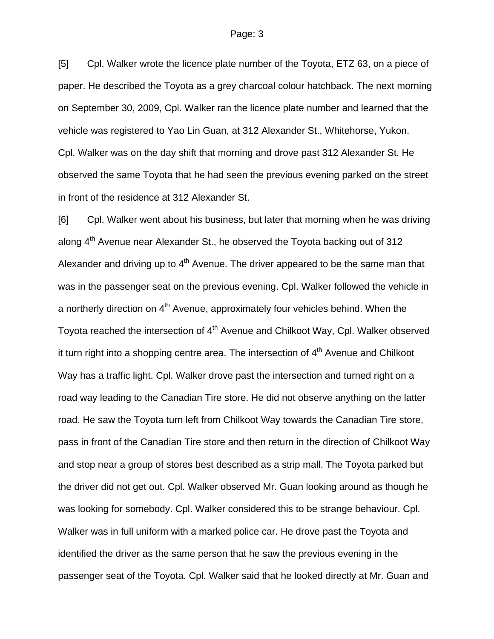[5] Cpl. Walker wrote the licence plate number of the Toyota, ETZ 63, on a piece of paper. He described the Toyota as a grey charcoal colour hatchback. The next morning on September 30, 2009, Cpl. Walker ran the licence plate number and learned that the vehicle was registered to Yao Lin Guan, at 312 Alexander St., Whitehorse, Yukon. Cpl. Walker was on the day shift that morning and drove past 312 Alexander St. He observed the same Toyota that he had seen the previous evening parked on the street in front of the residence at 312 Alexander St.

[6] Cpl. Walker went about his business, but later that morning when he was driving along 4<sup>th</sup> Avenue near Alexander St., he observed the Toyota backing out of 312 Alexander and driving up to  $4<sup>th</sup>$  Avenue. The driver appeared to be the same man that was in the passenger seat on the previous evening. Cpl. Walker followed the vehicle in a northerly direction on 4<sup>th</sup> Avenue, approximately four vehicles behind. When the Toyota reached the intersection of 4<sup>th</sup> Avenue and Chilkoot Way, Cpl. Walker observed it turn right into a shopping centre area. The intersection of  $4<sup>th</sup>$  Avenue and Chilkoot Way has a traffic light. Cpl. Walker drove past the intersection and turned right on a road way leading to the Canadian Tire store. He did not observe anything on the latter road. He saw the Toyota turn left from Chilkoot Way towards the Canadian Tire store, pass in front of the Canadian Tire store and then return in the direction of Chilkoot Way and stop near a group of stores best described as a strip mall. The Toyota parked but the driver did not get out. Cpl. Walker observed Mr. Guan looking around as though he was looking for somebody. Cpl. Walker considered this to be strange behaviour. Cpl. Walker was in full uniform with a marked police car. He drove past the Toyota and identified the driver as the same person that he saw the previous evening in the passenger seat of the Toyota. Cpl. Walker said that he looked directly at Mr. Guan and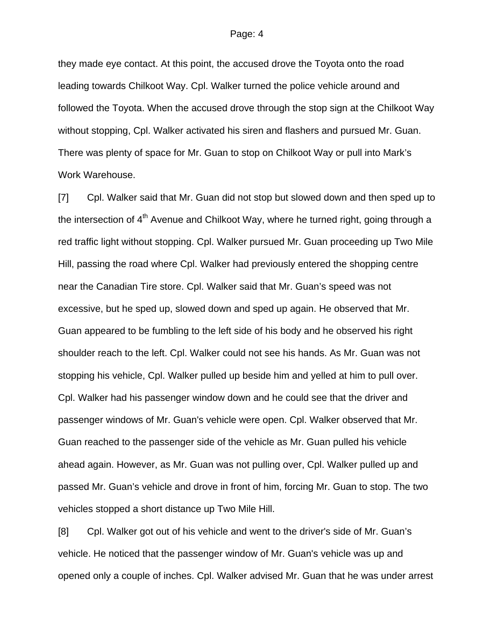they made eye contact. At this point, the accused drove the Toyota onto the road leading towards Chilkoot Way. Cpl. Walker turned the police vehicle around and followed the Toyota. When the accused drove through the stop sign at the Chilkoot Way without stopping, Cpl. Walker activated his siren and flashers and pursued Mr. Guan. There was plenty of space for Mr. Guan to stop on Chilkoot Way or pull into Mark's Work Warehouse.

[7] Cpl. Walker said that Mr. Guan did not stop but slowed down and then sped up to the intersection of  $4<sup>th</sup>$  Avenue and Chilkoot Way, where he turned right, going through a red traffic light without stopping. Cpl. Walker pursued Mr. Guan proceeding up Two Mile Hill, passing the road where Cpl. Walker had previously entered the shopping centre near the Canadian Tire store. Cpl. Walker said that Mr. Guan's speed was not excessive, but he sped up, slowed down and sped up again. He observed that Mr. Guan appeared to be fumbling to the left side of his body and he observed his right shoulder reach to the left. Cpl. Walker could not see his hands. As Mr. Guan was not stopping his vehicle, Cpl. Walker pulled up beside him and yelled at him to pull over. Cpl. Walker had his passenger window down and he could see that the driver and passenger windows of Mr. Guan's vehicle were open. Cpl. Walker observed that Mr. Guan reached to the passenger side of the vehicle as Mr. Guan pulled his vehicle ahead again. However, as Mr. Guan was not pulling over, Cpl. Walker pulled up and passed Mr. Guan's vehicle and drove in front of him, forcing Mr. Guan to stop. The two vehicles stopped a short distance up Two Mile Hill.

[8] Cpl. Walker got out of his vehicle and went to the driver's side of Mr. Guan's vehicle. He noticed that the passenger window of Mr. Guan's vehicle was up and opened only a couple of inches. Cpl. Walker advised Mr. Guan that he was under arrest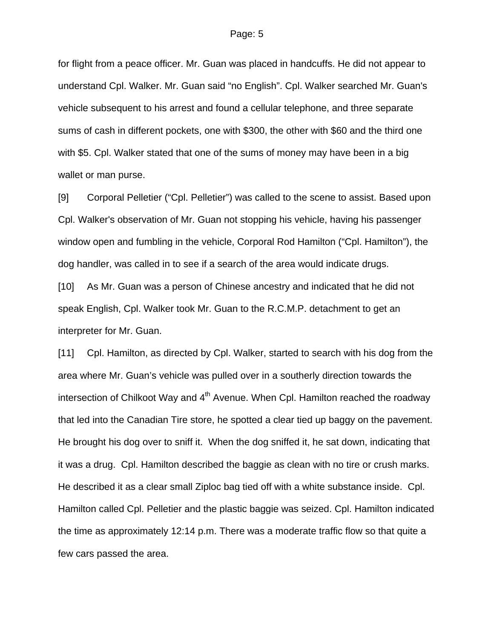for flight from a peace officer. Mr. Guan was placed in handcuffs. He did not appear to understand Cpl. Walker. Mr. Guan said "no English". Cpl. Walker searched Mr. Guan's vehicle subsequent to his arrest and found a cellular telephone, and three separate sums of cash in different pockets, one with \$300, the other with \$60 and the third one with \$5. Cpl. Walker stated that one of the sums of money may have been in a big wallet or man purse.

[9] Corporal Pelletier ("Cpl. Pelletier") was called to the scene to assist. Based upon Cpl. Walker's observation of Mr. Guan not stopping his vehicle, having his passenger window open and fumbling in the vehicle, Corporal Rod Hamilton ("Cpl. Hamilton"), the dog handler, was called in to see if a search of the area would indicate drugs.

[10] As Mr. Guan was a person of Chinese ancestry and indicated that he did not speak English, Cpl. Walker took Mr. Guan to the R.C.M.P. detachment to get an interpreter for Mr. Guan.

[11] Cpl. Hamilton, as directed by Cpl. Walker, started to search with his dog from the area where Mr. Guan's vehicle was pulled over in a southerly direction towards the intersection of Chilkoot Way and 4<sup>th</sup> Avenue. When Cpl. Hamilton reached the roadway that led into the Canadian Tire store, he spotted a clear tied up baggy on the pavement. He brought his dog over to sniff it. When the dog sniffed it, he sat down, indicating that it was a drug. Cpl. Hamilton described the baggie as clean with no tire or crush marks. He described it as a clear small Ziploc bag tied off with a white substance inside. Cpl. Hamilton called Cpl. Pelletier and the plastic baggie was seized. Cpl. Hamilton indicated the time as approximately 12:14 p.m. There was a moderate traffic flow so that quite a few cars passed the area.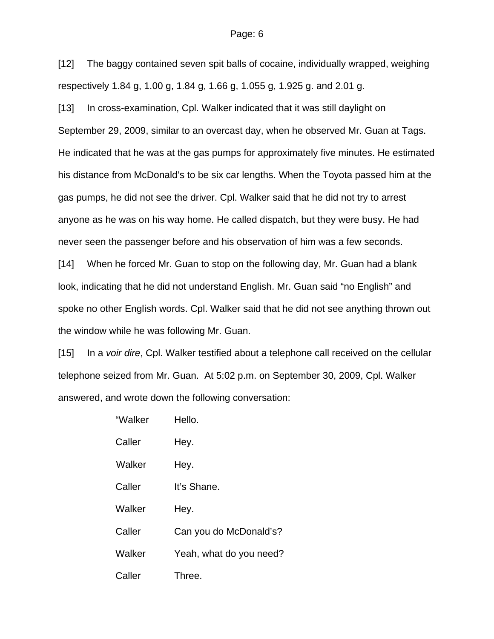[12] The baggy contained seven spit balls of cocaine, individually wrapped, weighing respectively 1.84 g, 1.00 g, 1.84 g, 1.66 g, 1.055 g, 1.925 g. and 2.01 g.

[13] In cross-examination, Cpl. Walker indicated that it was still daylight on September 29, 2009, similar to an overcast day, when he observed Mr. Guan at Tags. He indicated that he was at the gas pumps for approximately five minutes. He estimated his distance from McDonald's to be six car lengths. When the Toyota passed him at the gas pumps, he did not see the driver. Cpl. Walker said that he did not try to arrest anyone as he was on his way home. He called dispatch, but they were busy. He had never seen the passenger before and his observation of him was a few seconds.

[14] When he forced Mr. Guan to stop on the following day, Mr. Guan had a blank look, indicating that he did not understand English. Mr. Guan said "no English" and spoke no other English words. Cpl. Walker said that he did not see anything thrown out the window while he was following Mr. Guan.

[15] In a *voir dire*, Cpl. Walker testified about a telephone call received on the cellular telephone seized from Mr. Guan. At 5:02 p.m. on September 30, 2009, Cpl. Walker answered, and wrote down the following conversation:

| "Walker | Hello.                  |
|---------|-------------------------|
| Caller  | Hey.                    |
| Walker  | Hey.                    |
| Caller  | It's Shane.             |
| Walker  | Hey.                    |
| Caller  | Can you do McDonald's?  |
| Walker  | Yeah, what do you need? |
| Caller  | Three.                  |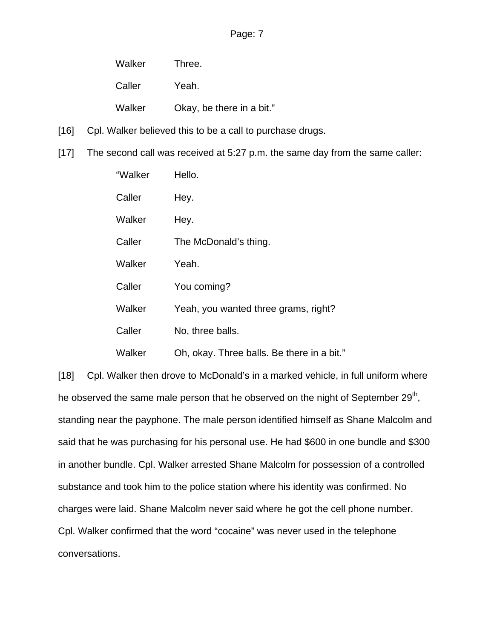| Walker | Three.                    |
|--------|---------------------------|
| Caller | Yeah.                     |
| Walker | Okay, be there in a bit." |

- [16] Cpl. Walker believed this to be a call to purchase drugs.
- [17] The second call was received at 5:27 p.m. the same day from the same caller:

| "Walker | Hello.                                     |  |
|---------|--------------------------------------------|--|
| Caller  | Hey.                                       |  |
| Walker  | Hey.                                       |  |
| Caller  | The McDonald's thing.                      |  |
| Walker  | Yeah.                                      |  |
| Caller  | You coming?                                |  |
| Walker  | Yeah, you wanted three grams, right?       |  |
| Caller  | No, three balls.                           |  |
| Walker  | Oh, okay. Three balls. Be there in a bit." |  |

[18] Cpl. Walker then drove to McDonald's in a marked vehicle, in full uniform where he observed the same male person that he observed on the night of September 29<sup>th</sup>, standing near the payphone. The male person identified himself as Shane Malcolm and said that he was purchasing for his personal use. He had \$600 in one bundle and \$300 in another bundle. Cpl. Walker arrested Shane Malcolm for possession of a controlled substance and took him to the police station where his identity was confirmed. No charges were laid. Shane Malcolm never said where he got the cell phone number. Cpl. Walker confirmed that the word "cocaine" was never used in the telephone conversations.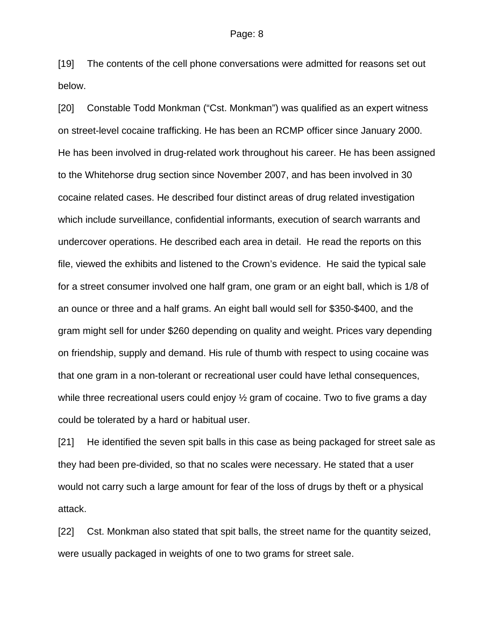[19] The contents of the cell phone conversations were admitted for reasons set out below.

[20] Constable Todd Monkman ("Cst. Monkman") was qualified as an expert witness on street-level cocaine trafficking. He has been an RCMP officer since January 2000. He has been involved in drug-related work throughout his career. He has been assigned to the Whitehorse drug section since November 2007, and has been involved in 30 cocaine related cases. He described four distinct areas of drug related investigation which include surveillance, confidential informants, execution of search warrants and undercover operations. He described each area in detail. He read the reports on this file, viewed the exhibits and listened to the Crown's evidence. He said the typical sale for a street consumer involved one half gram, one gram or an eight ball, which is 1/8 of an ounce or three and a half grams. An eight ball would sell for \$350-\$400, and the gram might sell for under \$260 depending on quality and weight. Prices vary depending on friendship, supply and demand. His rule of thumb with respect to using cocaine was that one gram in a non-tolerant or recreational user could have lethal consequences, while three recreational users could enjoy  $\frac{1}{2}$  gram of cocaine. Two to five grams a day could be tolerated by a hard or habitual user.

[21] He identified the seven spit balls in this case as being packaged for street sale as they had been pre-divided, so that no scales were necessary. He stated that a user would not carry such a large amount for fear of the loss of drugs by theft or a physical attack.

[22] Cst. Monkman also stated that spit balls, the street name for the quantity seized, were usually packaged in weights of one to two grams for street sale.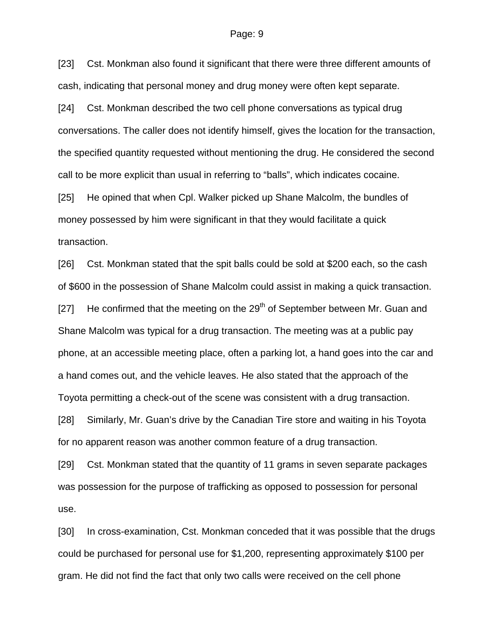[23] Cst. Monkman also found it significant that there were three different amounts of cash, indicating that personal money and drug money were often kept separate.

[24] Cst. Monkman described the two cell phone conversations as typical drug conversations. The caller does not identify himself, gives the location for the transaction, the specified quantity requested without mentioning the drug. He considered the second call to be more explicit than usual in referring to "balls", which indicates cocaine.

[25] He opined that when Cpl. Walker picked up Shane Malcolm, the bundles of money possessed by him were significant in that they would facilitate a quick transaction.

[26] Cst. Monkman stated that the spit balls could be sold at \$200 each, so the cash of \$600 in the possession of Shane Malcolm could assist in making a quick transaction. [27] He confirmed that the meeting on the  $29<sup>th</sup>$  of September between Mr. Guan and Shane Malcolm was typical for a drug transaction. The meeting was at a public pay phone, at an accessible meeting place, often a parking lot, a hand goes into the car and a hand comes out, and the vehicle leaves. He also stated that the approach of the Toyota permitting a check-out of the scene was consistent with a drug transaction.

[28] Similarly, Mr. Guan's drive by the Canadian Tire store and waiting in his Toyota for no apparent reason was another common feature of a drug transaction.

[29] Cst. Monkman stated that the quantity of 11 grams in seven separate packages was possession for the purpose of trafficking as opposed to possession for personal use.

[30] In cross-examination, Cst. Monkman conceded that it was possible that the drugs could be purchased for personal use for \$1,200, representing approximately \$100 per gram. He did not find the fact that only two calls were received on the cell phone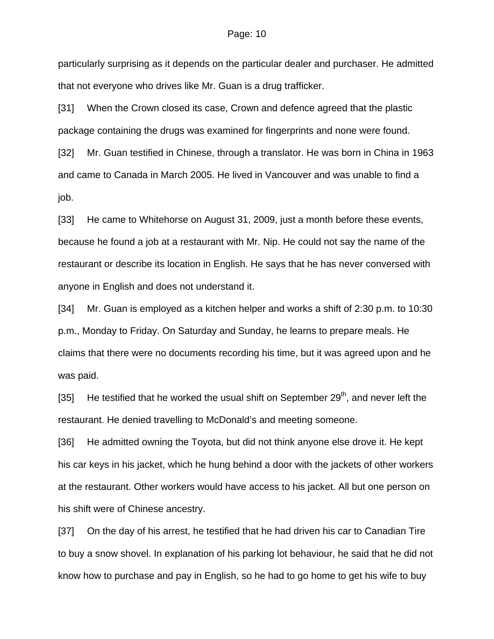particularly surprising as it depends on the particular dealer and purchaser. He admitted that not everyone who drives like Mr. Guan is a drug trafficker.

[31] When the Crown closed its case, Crown and defence agreed that the plastic package containing the drugs was examined for fingerprints and none were found.

[32] Mr. Guan testified in Chinese, through a translator. He was born in China in 1963 and came to Canada in March 2005. He lived in Vancouver and was unable to find a job.

[33] He came to Whitehorse on August 31, 2009, just a month before these events, because he found a job at a restaurant with Mr. Nip. He could not say the name of the restaurant or describe its location in English. He says that he has never conversed with anyone in English and does not understand it.

[34] Mr. Guan is employed as a kitchen helper and works a shift of 2:30 p.m. to 10:30 p.m., Monday to Friday. On Saturday and Sunday, he learns to prepare meals. He claims that there were no documents recording his time, but it was agreed upon and he was paid.

[35] He testified that he worked the usual shift on September  $29<sup>th</sup>$ , and never left the restaurant. He denied travelling to McDonald's and meeting someone.

[36] He admitted owning the Toyota, but did not think anyone else drove it. He kept his car keys in his jacket, which he hung behind a door with the jackets of other workers at the restaurant. Other workers would have access to his jacket. All but one person on his shift were of Chinese ancestry.

[37] On the day of his arrest, he testified that he had driven his car to Canadian Tire to buy a snow shovel. In explanation of his parking lot behaviour, he said that he did not know how to purchase and pay in English, so he had to go home to get his wife to buy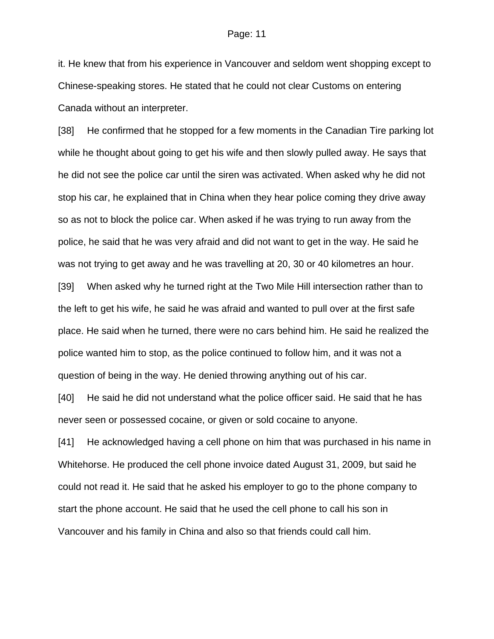it. He knew that from his experience in Vancouver and seldom went shopping except to Chinese-speaking stores. He stated that he could not clear Customs on entering Canada without an interpreter.

[38] He confirmed that he stopped for a few moments in the Canadian Tire parking lot while he thought about going to get his wife and then slowly pulled away. He says that he did not see the police car until the siren was activated. When asked why he did not stop his car, he explained that in China when they hear police coming they drive away so as not to block the police car. When asked if he was trying to run away from the police, he said that he was very afraid and did not want to get in the way. He said he was not trying to get away and he was travelling at 20, 30 or 40 kilometres an hour.

[39] When asked why he turned right at the Two Mile Hill intersection rather than to the left to get his wife, he said he was afraid and wanted to pull over at the first safe place. He said when he turned, there were no cars behind him. He said he realized the police wanted him to stop, as the police continued to follow him, and it was not a question of being in the way. He denied throwing anything out of his car.

[40] He said he did not understand what the police officer said. He said that he has never seen or possessed cocaine, or given or sold cocaine to anyone.

[41] He acknowledged having a cell phone on him that was purchased in his name in Whitehorse. He produced the cell phone invoice dated August 31, 2009, but said he could not read it. He said that he asked his employer to go to the phone company to start the phone account. He said that he used the cell phone to call his son in Vancouver and his family in China and also so that friends could call him.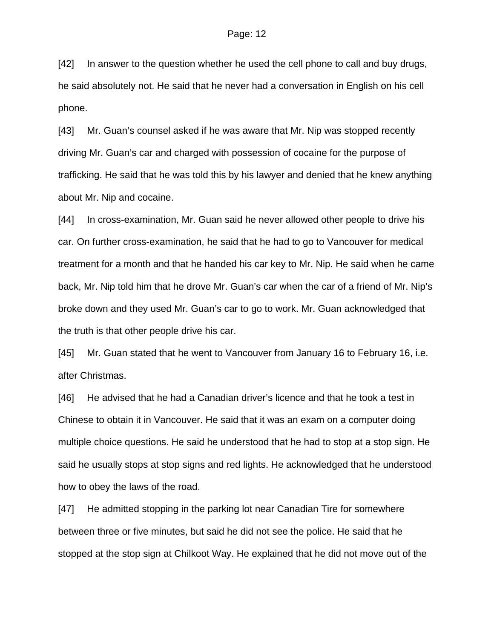[42] In answer to the question whether he used the cell phone to call and buy drugs, he said absolutely not. He said that he never had a conversation in English on his cell phone.

[43] Mr. Guan's counsel asked if he was aware that Mr. Nip was stopped recently driving Mr. Guan's car and charged with possession of cocaine for the purpose of trafficking. He said that he was told this by his lawyer and denied that he knew anything about Mr. Nip and cocaine.

[44] In cross-examination, Mr. Guan said he never allowed other people to drive his car. On further cross-examination, he said that he had to go to Vancouver for medical treatment for a month and that he handed his car key to Mr. Nip. He said when he came back, Mr. Nip told him that he drove Mr. Guan's car when the car of a friend of Mr. Nip's broke down and they used Mr. Guan's car to go to work. Mr. Guan acknowledged that the truth is that other people drive his car.

[45] Mr. Guan stated that he went to Vancouver from January 16 to February 16, i.e. after Christmas.

[46] He advised that he had a Canadian driver's licence and that he took a test in Chinese to obtain it in Vancouver. He said that it was an exam on a computer doing multiple choice questions. He said he understood that he had to stop at a stop sign. He said he usually stops at stop signs and red lights. He acknowledged that he understood how to obey the laws of the road.

[47] He admitted stopping in the parking lot near Canadian Tire for somewhere between three or five minutes, but said he did not see the police. He said that he stopped at the stop sign at Chilkoot Way. He explained that he did not move out of the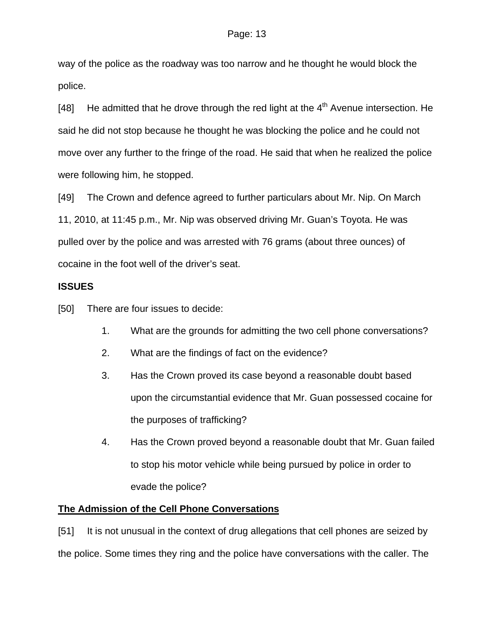way of the police as the roadway was too narrow and he thought he would block the police.

[48] He admitted that he drove through the red light at the  $4<sup>th</sup>$  Avenue intersection. He said he did not stop because he thought he was blocking the police and he could not move over any further to the fringe of the road. He said that when he realized the police were following him, he stopped.

[49] The Crown and defence agreed to further particulars about Mr. Nip. On March 11, 2010, at 11:45 p.m., Mr. Nip was observed driving Mr. Guan's Toyota. He was pulled over by the police and was arrested with 76 grams (about three ounces) of cocaine in the foot well of the driver's seat.

### **ISSUES**

[50] There are four issues to decide:

- 1. What are the grounds for admitting the two cell phone conversations?
- 2. What are the findings of fact on the evidence?
- 3. Has the Crown proved its case beyond a reasonable doubt based upon the circumstantial evidence that Mr. Guan possessed cocaine for the purposes of trafficking?
- 4. Has the Crown proved beyond a reasonable doubt that Mr. Guan failed to stop his motor vehicle while being pursued by police in order to evade the police?

## **The Admission of the Cell Phone Conversations**

[51] It is not unusual in the context of drug allegations that cell phones are seized by the police. Some times they ring and the police have conversations with the caller. The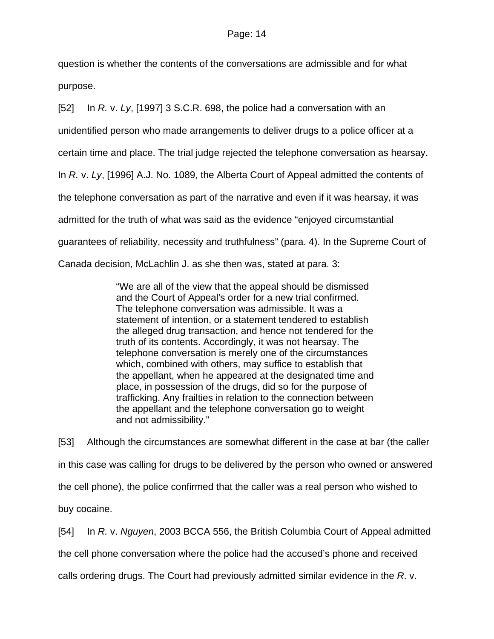question is whether the contents of the conversations are admissible and for what purpose.

[52] In *R.* v. *Ly*, [1997] 3 S.C.R. 698, the police had a conversation with an

unidentified person who made arrangements to deliver drugs to a police officer at a

certain time and place. The trial judge rejected the telephone conversation as hearsay.

In *R.* v. *Ly*, [1996] A.J. No. 1089, the Alberta Court of Appeal admitted the contents of

the telephone conversation as part of the narrative and even if it was hearsay, it was

admitted for the truth of what was said as the evidence "enjoyed circumstantial

guarantees of reliability, necessity and truthfulness" (para. 4). In the Supreme Court of

Canada decision, McLachlin J. as she then was, stated at para. 3:

"We are all of the view that the appeal should be dismissed and the Court of Appeal's order for a new trial confirmed. The telephone conversation was admissible. It was a statement of intention, or a statement tendered to establish the alleged drug transaction, and hence not tendered for the truth of its contents. Accordingly, it was not hearsay. The telephone conversation is merely one of the circumstances which, combined with others, may suffice to establish that the appellant, when he appeared at the designated time and place, in possession of the drugs, did so for the purpose of trafficking. Any frailties in relation to the connection between the appellant and the telephone conversation go to weight and not admissibility."

[53] Although the circumstances are somewhat different in the case at bar (the caller in this case was calling for drugs to be delivered by the person who owned or answered the cell phone), the police confirmed that the caller was a real person who wished to buy cocaine.

[54] In *R.* v. *Nguyen*, 2003 BCCA 556, the British Columbia Court of Appeal admitted the cell phone conversation where the police had the accused's phone and received calls ordering drugs. The Court had previously admitted similar evidence in the *R*. v.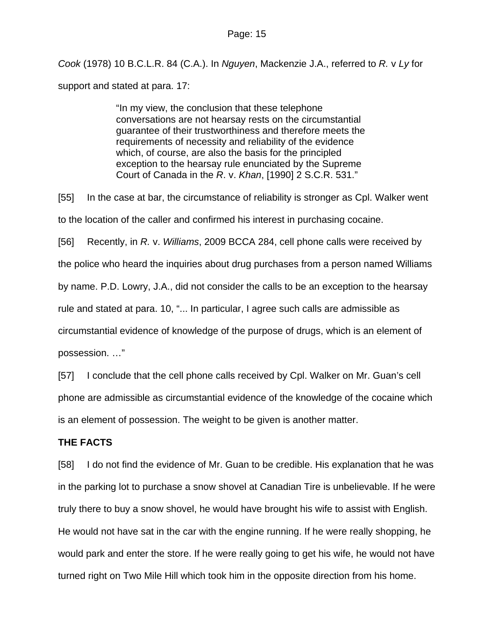*Cook* (1978) 10 B.C.L.R. 84 (C.A.). In *Nguyen*, Mackenzie J.A., referred to *R.* v *Ly* for support and stated at para. 17:

> "In my view, the conclusion that these telephone conversations are not hearsay rests on the circumstantial guarantee of their trustworthiness and therefore meets the requirements of necessity and reliability of the evidence which, of course, are also the basis for the principled exception to the hearsay rule enunciated by the Supreme Court of Canada in the *R*. v. *Khan*, [\[1990\] 2 S.C.R. 531](http://www.lexisnexis.com/ca/legal/search/runRemoteLink.do?langcountry=CA&linkInfo=F%23CA%23SCR%23sel2%252%25year%251990%25page%25531%25sel1%251990%25vol%252%25&risb=21_T9021262321&bct=A&service=citation&A=0.5212947846719399)."

[55] In the case at bar, the circumstance of reliability is stronger as Cpl. Walker went to the location of the caller and confirmed his interest in purchasing cocaine.

[56] Recently, in *R.* v. *Williams*, 2009 BCCA 284, cell phone calls were received by the police who heard the inquiries about drug purchases from a person named Williams by name. P.D. Lowry, J.A., did not consider the calls to be an exception to the hearsay rule and stated at para. 10, "... In particular, I agree such calls are admissible as circumstantial evidence of knowledge of the purpose of drugs, which is an element of possession. …"

[57] I conclude that the cell phone calls received by Cpl. Walker on Mr. Guan's cell phone are admissible as circumstantial evidence of the knowledge of the cocaine which is an element of possession. The weight to be given is another matter.

### **THE FACTS**

[58] I do not find the evidence of Mr. Guan to be credible. His explanation that he was in the parking lot to purchase a snow shovel at Canadian Tire is unbelievable. If he were truly there to buy a snow shovel, he would have brought his wife to assist with English. He would not have sat in the car with the engine running. If he were really shopping, he would park and enter the store. If he were really going to get his wife, he would not have turned right on Two Mile Hill which took him in the opposite direction from his home.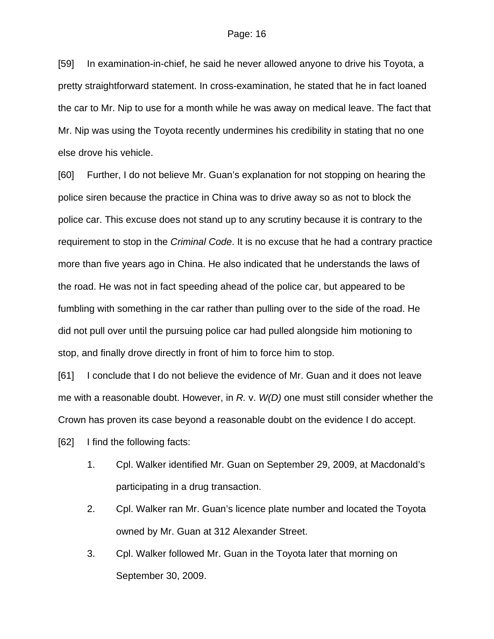[59] In examination-in-chief, he said he never allowed anyone to drive his Toyota, a pretty straightforward statement. In cross-examination, he stated that he in fact loaned the car to Mr. Nip to use for a month while he was away on medical leave. The fact that Mr. Nip was using the Toyota recently undermines his credibility in stating that no one else drove his vehicle.

[60] Further, I do not believe Mr. Guan's explanation for not stopping on hearing the police siren because the practice in China was to drive away so as not to block the police car. This excuse does not stand up to any scrutiny because it is contrary to the requirement to stop in the *Criminal Code*. It is no excuse that he had a contrary practice more than five years ago in China. He also indicated that he understands the laws of the road. He was not in fact speeding ahead of the police car, but appeared to be fumbling with something in the car rather than pulling over to the side of the road. He did not pull over until the pursuing police car had pulled alongside him motioning to stop, and finally drove directly in front of him to force him to stop.

[61] I conclude that I do not believe the evidence of Mr. Guan and it does not leave me with a reasonable doubt. However, in *R.* v. *W(D)* one must still consider whether the Crown has proven its case beyond a reasonable doubt on the evidence I do accept.

[62] I find the following facts:

- 1. Cpl. Walker identified Mr. Guan on September 29, 2009, at Macdonald's participating in a drug transaction.
- 2. Cpl. Walker ran Mr. Guan's licence plate number and located the Toyota owned by Mr. Guan at 312 Alexander Street.
- 3. Cpl. Walker followed Mr. Guan in the Toyota later that morning on September 30, 2009.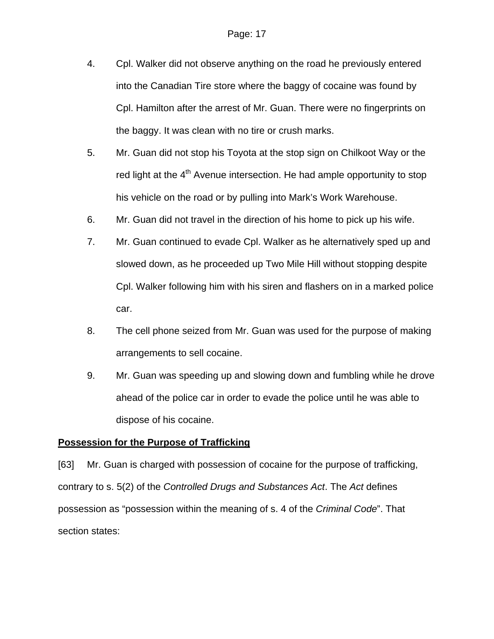- 4. Cpl. Walker did not observe anything on the road he previously entered into the Canadian Tire store where the baggy of cocaine was found by Cpl. Hamilton after the arrest of Mr. Guan. There were no fingerprints on the baggy. It was clean with no tire or crush marks.
- 5. Mr. Guan did not stop his Toyota at the stop sign on Chilkoot Way or the red light at the 4<sup>th</sup> Avenue intersection. He had ample opportunity to stop his vehicle on the road or by pulling into Mark's Work Warehouse.
- 6. Mr. Guan did not travel in the direction of his home to pick up his wife.
- 7. Mr. Guan continued to evade Cpl. Walker as he alternatively sped up and slowed down, as he proceeded up Two Mile Hill without stopping despite Cpl. Walker following him with his siren and flashers on in a marked police car.
- 8. The cell phone seized from Mr. Guan was used for the purpose of making arrangements to sell cocaine.
- 9. Mr. Guan was speeding up and slowing down and fumbling while he drove ahead of the police car in order to evade the police until he was able to dispose of his cocaine.

#### **Possession for the Purpose of Trafficking**

[63] Mr. Guan is charged with possession of cocaine for the purpose of trafficking, contrary to s. 5(2) of the *Controlled Drugs and Substances Act*. The *Act* defines possession as "possession within the meaning of s. 4 of the *Criminal Code*". That section states: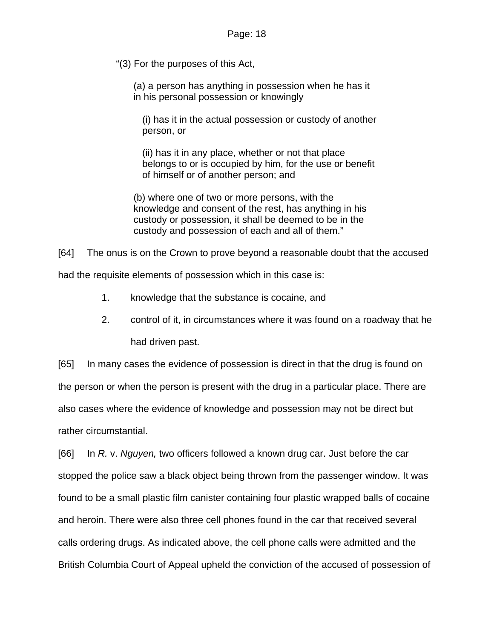"(3) For the purposes of this Act,

(a) a person has anything in possession when he has it in his personal possession or knowingly

(i) has it in the actual possession or custody of another person, or

(ii) has it in any place, whether or not that place belongs to or is occupied by him, for the use or benefit of himself or of another person; and

(b) where one of two or more persons, with the knowledge and consent of the rest, has anything in his custody or possession, it shall be deemed to be in the custody and possession of each and all of them."

[64] The onus is on the Crown to prove beyond a reasonable doubt that the accused

had the requisite elements of possession which in this case is:

- 1. knowledge that the substance is cocaine, and
- 2. control of it, in circumstances where it was found on a roadway that he had driven past.

[65] In many cases the evidence of possession is direct in that the drug is found on the person or when the person is present with the drug in a particular place. There are also cases where the evidence of knowledge and possession may not be direct but rather circumstantial.

[66] In *R.* v. *Nguyen,* two officers followed a known drug car. Just before the car stopped the police saw a black object being thrown from the passenger window. It was found to be a small plastic film canister containing four plastic wrapped balls of cocaine and heroin. There were also three cell phones found in the car that received several calls ordering drugs. As indicated above, the cell phone calls were admitted and the British Columbia Court of Appeal upheld the conviction of the accused of possession of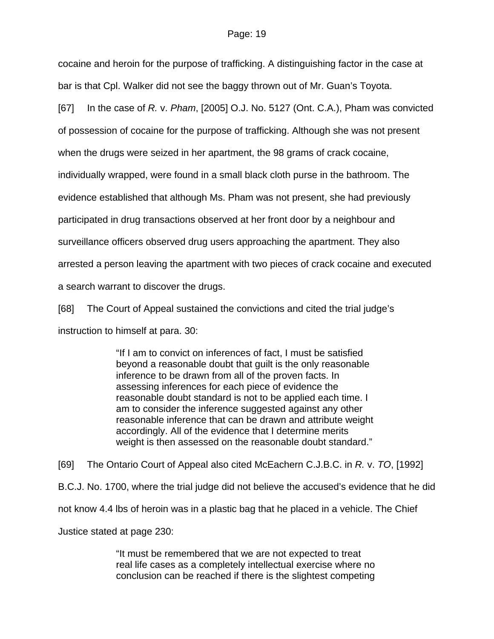cocaine and heroin for the purpose of trafficking. A distinguishing factor in the case at bar is that Cpl. Walker did not see the baggy thrown out of Mr. Guan's Toyota.

[67] In the case of *R.* v. *Pham*, [2005] O.J. No. 5127 (Ont. C.A.), Pham was convicted

of possession of cocaine for the purpose of trafficking. Although she was not present

when the drugs were seized in her apartment, the 98 grams of crack cocaine,

individually wrapped, were found in a small black cloth purse in the bathroom. The

evidence established that although Ms. Pham was not present, she had previously

participated in drug transactions observed at her front door by a neighbour and

surveillance officers observed drug users approaching the apartment. They also

arrested a person leaving the apartment with two pieces of crack cocaine and executed

a search warrant to discover the drugs.

[68] The Court of Appeal sustained the convictions and cited the trial judge's instruction to himself at para. 30:

> "If I am to convict on inferences of fact, I must be satisfied beyond a reasonable doubt that guilt is the only reasonable inference to be drawn from all of the proven facts. In assessing inferences for each piece of evidence the reasonable doubt standard is not to be applied each time. I am to consider the inference suggested against any other reasonable inference that can be drawn and attribute weight accordingly. All of the evidence that I determine merits weight is then assessed on the reasonable doubt standard."

[69] The Ontario Court of Appeal also cited McEachern C.J.B.C. in *R.* v. *TO*, [1992] B.C.J. No. 1700, where the trial judge did not believe the accused's evidence that he did not know 4.4 lbs of heroin was in a plastic bag that he placed in a vehicle. The Chief Justice stated at page 230:

> "It must be remembered that we are not expected to treat real life cases as a completely intellectual exercise where no conclusion can be reached if there is the slightest competing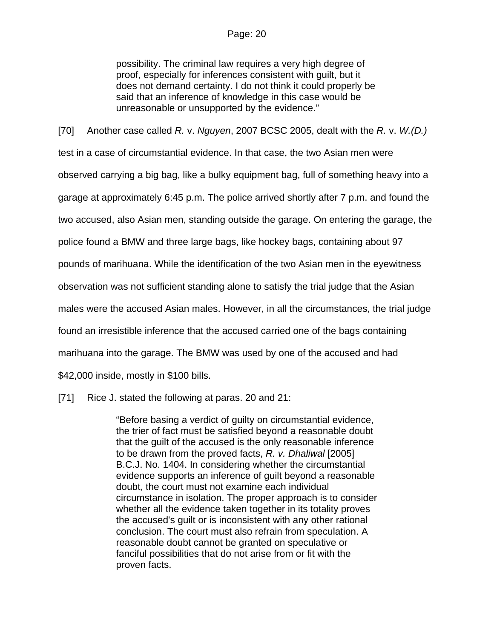possibility. The criminal law requires a very high degree of proof, especially for inferences consistent with guilt, but it does not demand certainty. I do not think it could properly be said that an inference of knowledge in this case would be unreasonable or unsupported by the evidence."

[70] Another case called *R.* v. *Nguyen*, 2007 BCSC 2005, dealt with the *R.* v. *W.(D.)* test in a case of circumstantial evidence. In that case, the two Asian men were observed carrying a big bag, like a bulky equipment bag, full of something heavy into a garage at approximately 6:45 p.m. The police arrived shortly after 7 p.m. and found the two accused, also Asian men, standing outside the garage. On entering the garage, the police found a BMW and three large bags, like hockey bags, containing about 97 pounds of marihuana. While the identification of the two Asian men in the eyewitness observation was not sufficient standing alone to satisfy the trial judge that the Asian males were the accused Asian males. However, in all the circumstances, the trial judge found an irresistible inference that the accused carried one of the bags containing marihuana into the garage. The BMW was used by one of the accused and had \$42,000 inside, mostly in \$100 bills.

[71] Rice J. stated the following at paras. 20 and 21:

"Before basing a verdict of guilty on circumstantial evidence, the trier of fact must be satisfied beyond a reasonable doubt that the guilt of the accused is the only reasonable inference to be drawn from the proved facts, *R. v. Dhaliwal* [\[2005\]](http://www.lexisnexis.com/ca/legal/search/runRemoteLink.do?langcountry=CA&linkInfo=F%23CA%23BCJ%23year%252005%25sel1%252005%25ref%251404%25&risb=21_T9097316746&bct=A&service=citation&A=0.009053420476641372)  [B.C.J. No. 1404.](http://www.lexisnexis.com/ca/legal/search/runRemoteLink.do?langcountry=CA&linkInfo=F%23CA%23BCJ%23year%252005%25sel1%252005%25ref%251404%25&risb=21_T9097316746&bct=A&service=citation&A=0.009053420476641372) In considering whether the circumstantial evidence supports an inference of guilt beyond a reasonable doubt, the court must not examine each individual circumstance in isolation. The proper approach is to consider whether all the evidence taken together in its totality proves the accused's guilt or is inconsistent with any other rational conclusion. The court must also refrain from speculation. A reasonable doubt cannot be granted on speculative or fanciful possibilities that do not arise from or fit with the proven facts.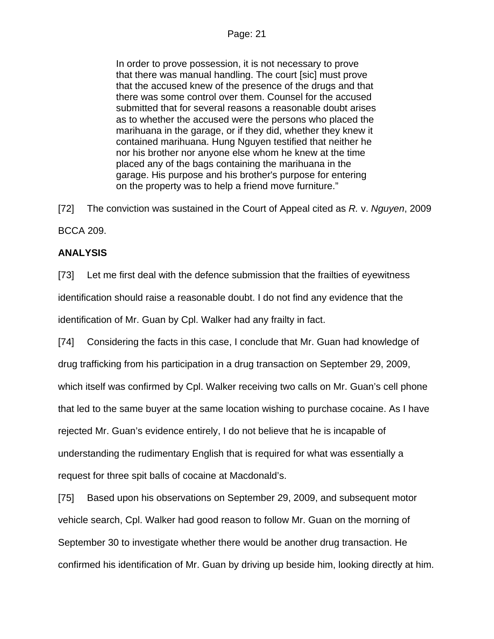In order to prove possession, it is not necessary to prove that there was manual handling. The court [sic] must prove that the accused knew of the presence of the drugs and that there was some control over them. Counsel for the accused submitted that for several reasons a reasonable doubt arises as to whether the accused were the persons who placed the marihuana in the garage, or if they did, whether they knew it contained marihuana. Hung Nguyen testified that neither he nor his brother nor anyone else whom he knew at the time placed any of the bags containing the marihuana in the garage. His purpose and his brother's purpose for entering on the property was to help a friend move furniture."

[72] The conviction was sustained in the Court of Appeal cited as *R.* v. *Nguyen*, 2009 BCCA 209.

## **ANALYSIS**

[73] Let me first deal with the defence submission that the frailties of eyewitness identification should raise a reasonable doubt. I do not find any evidence that the identification of Mr. Guan by Cpl. Walker had any frailty in fact.

[74] Considering the facts in this case, I conclude that Mr. Guan had knowledge of drug trafficking from his participation in a drug transaction on September 29, 2009, which itself was confirmed by Cpl. Walker receiving two calls on Mr. Guan's cell phone that led to the same buyer at the same location wishing to purchase cocaine. As I have rejected Mr. Guan's evidence entirely, I do not believe that he is incapable of understanding the rudimentary English that is required for what was essentially a request for three spit balls of cocaine at Macdonald's.

[75] Based upon his observations on September 29, 2009, and subsequent motor vehicle search, Cpl. Walker had good reason to follow Mr. Guan on the morning of September 30 to investigate whether there would be another drug transaction. He confirmed his identification of Mr. Guan by driving up beside him, looking directly at him.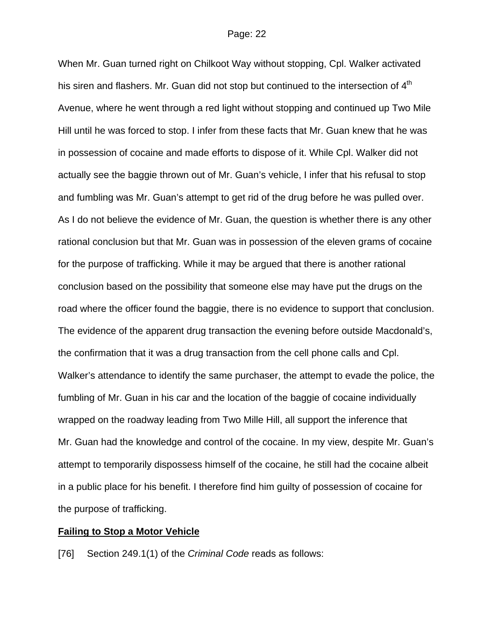When Mr. Guan turned right on Chilkoot Way without stopping, Cpl. Walker activated his siren and flashers. Mr. Guan did not stop but continued to the intersection of 4<sup>th</sup> Avenue, where he went through a red light without stopping and continued up Two Mile Hill until he was forced to stop. I infer from these facts that Mr. Guan knew that he was in possession of cocaine and made efforts to dispose of it. While Cpl. Walker did not actually see the baggie thrown out of Mr. Guan's vehicle, I infer that his refusal to stop and fumbling was Mr. Guan's attempt to get rid of the drug before he was pulled over. As I do not believe the evidence of Mr. Guan, the question is whether there is any other rational conclusion but that Mr. Guan was in possession of the eleven grams of cocaine for the purpose of trafficking. While it may be argued that there is another rational conclusion based on the possibility that someone else may have put the drugs on the road where the officer found the baggie, there is no evidence to support that conclusion. The evidence of the apparent drug transaction the evening before outside Macdonald's, the confirmation that it was a drug transaction from the cell phone calls and Cpl. Walker's attendance to identify the same purchaser, the attempt to evade the police, the fumbling of Mr. Guan in his car and the location of the baggie of cocaine individually wrapped on the roadway leading from Two Mille Hill, all support the inference that Mr. Guan had the knowledge and control of the cocaine. In my view, despite Mr. Guan's attempt to temporarily dispossess himself of the cocaine, he still had the cocaine albeit in a public place for his benefit. I therefore find him guilty of possession of cocaine for the purpose of trafficking.

#### **Failing to Stop a Motor Vehicle**

[76] Section 249.1(1) of the *Criminal Code* reads as follows: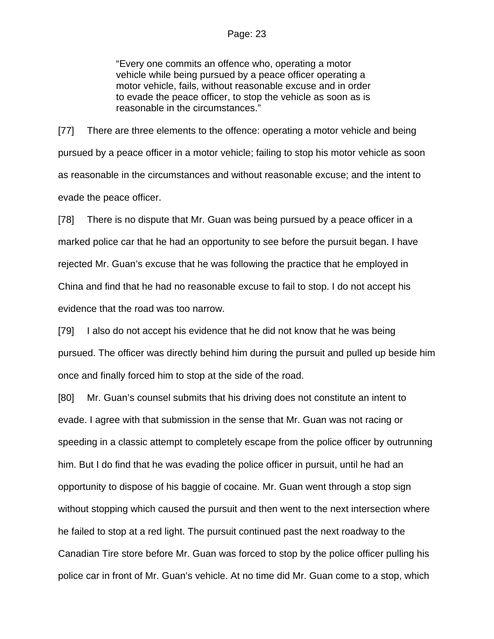"Every one commits an offence who, operating a motor vehicle while being pursued by a peace officer operating a motor vehicle, fails, without reasonable excuse and in order to evade the peace officer, to stop the vehicle as soon as is reasonable in the circumstances."

[77] There are three elements to the offence: operating a motor vehicle and being pursued by a peace officer in a motor vehicle; failing to stop his motor vehicle as soon as reasonable in the circumstances and without reasonable excuse; and the intent to evade the peace officer.

[78] There is no dispute that Mr. Guan was being pursued by a peace officer in a marked police car that he had an opportunity to see before the pursuit began. I have rejected Mr. Guan's excuse that he was following the practice that he employed in China and find that he had no reasonable excuse to fail to stop. I do not accept his evidence that the road was too narrow.

[79] I also do not accept his evidence that he did not know that he was being pursued. The officer was directly behind him during the pursuit and pulled up beside him once and finally forced him to stop at the side of the road.

[80] Mr. Guan's counsel submits that his driving does not constitute an intent to evade. I agree with that submission in the sense that Mr. Guan was not racing or speeding in a classic attempt to completely escape from the police officer by outrunning him. But I do find that he was evading the police officer in pursuit, until he had an opportunity to dispose of his baggie of cocaine. Mr. Guan went through a stop sign without stopping which caused the pursuit and then went to the next intersection where he failed to stop at a red light. The pursuit continued past the next roadway to the Canadian Tire store before Mr. Guan was forced to stop by the police officer pulling his police car in front of Mr. Guan's vehicle. At no time did Mr. Guan come to a stop, which